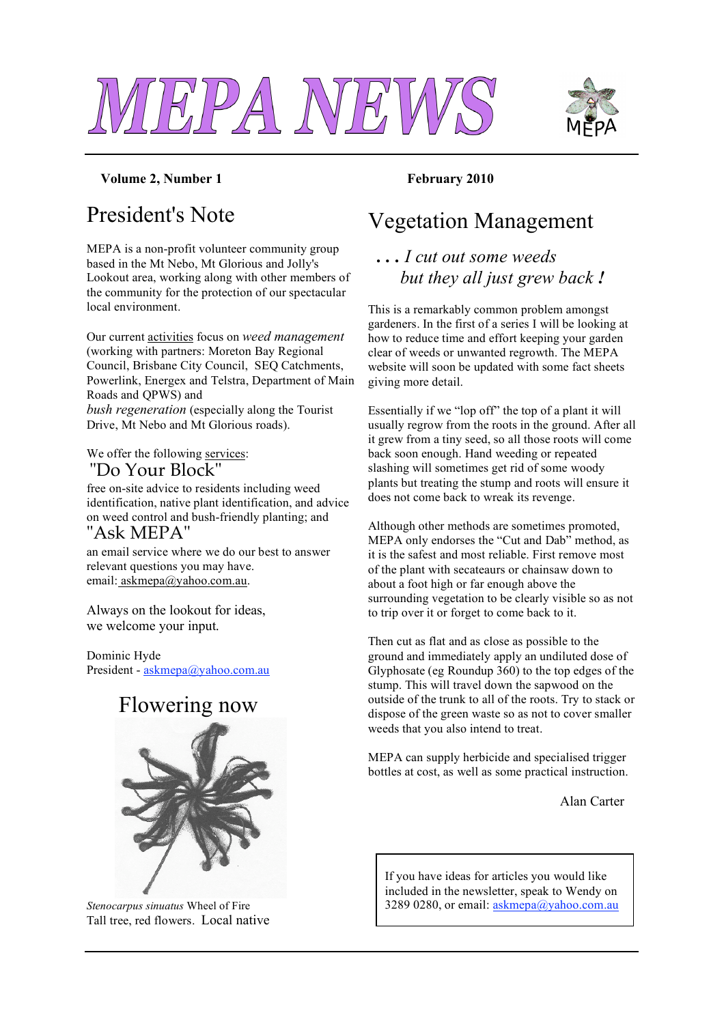



#### **Volume 2, Number 1 February 2010**

## President's Note

MEPA is a non-profit volunteer community group based in the Mt Nebo, Mt Glorious and Jolly's Lookout area, working along with other members of the community for the protection of our spectacular local environment.

Our current activities focus on *weed management* (working with partners: Moreton Bay Regional Council, Brisbane City Council, SEQ Catchments, Powerlink, Energex and Telstra, Department of Main Roads and QPWS) and *bush regeneration* (especially along the Tourist Drive, Mt Nebo and Mt Glorious roads).

We offer the following services: "Do Your Block"

free on-site advice to residents including weed identification, native plant identification, and advice on weed control and bush-friendly planting; and "Ask MEPA"

an email service where we do our best to answer relevant questions you may have. email: askmepa@yahoo.com.au.

Always on the lookout for ideas, we welcome your input.

Dominic Hyde President - askmepa@yahoo.com.au

### Flowering now



*Stenocarpus sinuatus* Wheel of Fire Tall tree, red flowers. Local native

## Vegetation Management

#### *. . . I cut out some weeds but they all just grew back !*

This is a remarkably common problem amongst gardeners. In the first of a series I will be looking at how to reduce time and effort keeping your garden clear of weeds or unwanted regrowth. The MEPA website will soon be updated with some fact sheets giving more detail.

Essentially if we "lop off" the top of a plant it will usually regrow from the roots in the ground. After all it grew from a tiny seed, so all those roots will come back soon enough. Hand weeding or repeated slashing will sometimes get rid of some woody plants but treating the stump and roots will ensure it does not come back to wreak its revenge.

Although other methods are sometimes promoted, MEPA only endorses the "Cut and Dab" method, as it is the safest and most reliable. First remove most of the plant with secateaurs or chainsaw down to about a foot high or far enough above the surrounding vegetation to be clearly visible so as not to trip over it or forget to come back to it.

Then cut as flat and as close as possible to the ground and immediately apply an undiluted dose of Glyphosate (eg Roundup 360) to the top edges of the stump. This will travel down the sapwood on the outside of the trunk to all of the roots. Try to stack or dispose of the green waste so as not to cover smaller weeds that you also intend to treat.

MEPA can supply herbicide and specialised trigger bottles at cost, as well as some practical instruction.

Alan Carter

If you have ideas for articles you would like included in the newsletter, speak to Wendy on 3289 0280, or email: askmepa@yahoo.com.au